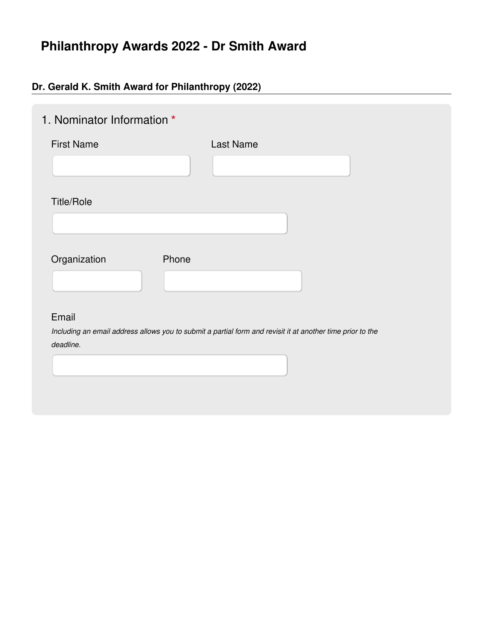# **Philanthropy Awards 2022 - Dr Smith Award**

### **Dr. Gerald K. Smith Award for Philanthropy (2022)**

| 1. Nominator Information * |                                                                                                            |
|----------------------------|------------------------------------------------------------------------------------------------------------|
| <b>First Name</b>          | Last Name                                                                                                  |
|                            |                                                                                                            |
| <b>Title/Role</b>          |                                                                                                            |
|                            |                                                                                                            |
| Phone<br>Organization      |                                                                                                            |
|                            |                                                                                                            |
| Email                      |                                                                                                            |
| deadline.                  | Including an email address allows you to submit a partial form and revisit it at another time prior to the |
|                            |                                                                                                            |
|                            |                                                                                                            |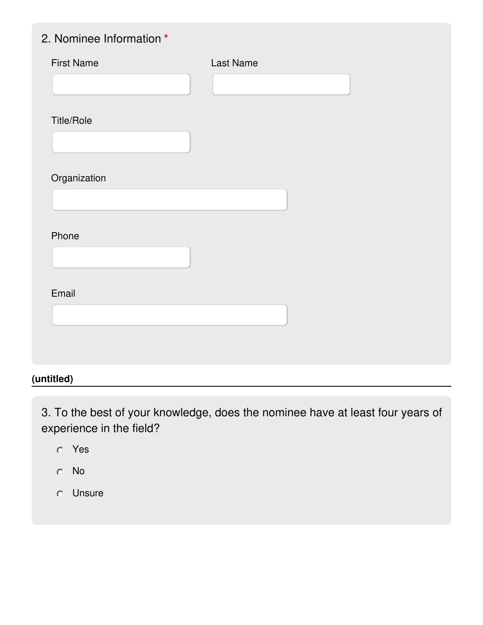## 2. Nominee Information **\***

| <b>First Name</b> | Last Name |
|-------------------|-----------|
|                   |           |
| <b>Title/Role</b> |           |
|                   |           |
| Organization      |           |
|                   |           |
|                   |           |
| Phone             |           |
|                   |           |
| Email             |           |
|                   |           |
|                   |           |
|                   |           |

### **(untitled)**

3. To the best of your knowledge, does the nominee have at least four years of experience in the field?

- Yes
- No
- Unsure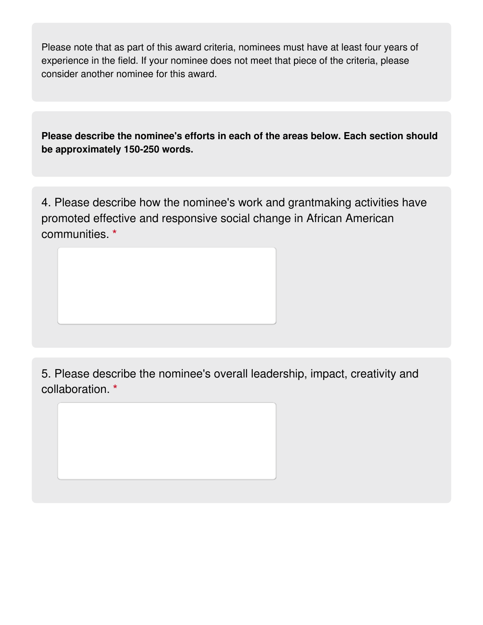Please note that as part of this award criteria, nominees must have at least four years of experience in the field. If your nominee does not meet that piece of the criteria, please consider another nominee for this award.

**Please describe the nominee's efforts in each of the areas below. Each section should be approximately 150-250 words.**

4. Please describe how the nominee's work and grantmaking activities have promoted effective and responsive social change in African American communities. **\***

5. Please describe the nominee's overall leadership, impact, creativity and collaboration. **\***